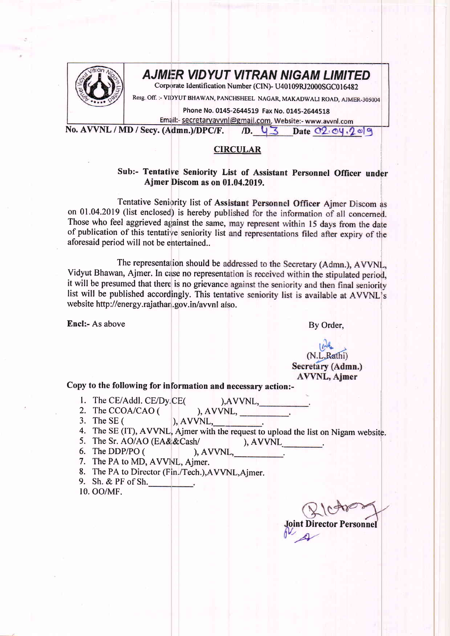

## **AJMER VIDYUT VITRAN NIGAM LIMITED**

Corporate Identification Number (CIN)- U40109RJ2000SGC016482

Resg. Off. :- VIDYUT BHAWAN, PANCHSHEEL NAGAR, MAKADWALI ROAD, AJMER-305004

Phone No. 0145-2644519 Fax No. 0145-2644518

Email:- secretaryavvnl@gmail.com, Website:- www.avvnl.com

No. AVVNL / MD / Secy. (Admn.)/DPC/F.  $/D. 43$  Date  $C2$   $C4.209$ 

## **CIRCULAR**

## Sub:- Tentative Seniority List of Assistant Personnel Officer under Ajmer Discom as on 01.04.2019.

Tentative Seniority list of Assistant Personnel Officer Ajmer Discom as on 01.04.2019 (list enclosed) is hereby published for the information of all concerned. Those who feel aggrieved against the same, may represent within 15 days from the date of publication of this tentative seniority list and representations filed after expiry of the aforesaid period will not be entertained..

The representation should be addressed to the Secretary (Admn.), AVVNL, Vidyut Bhawan, Ajmer. In case no representation is received within the stipulated period, it will be presumed that there is no grievance against the seniority and then final seniority list will be published accordingly. This tentative seniority list is available at AVVNL's website http://energy.rajathan.gov.in/avvnl also.

Encl:- As above

By Order,

## (N.L.Rathi) Secretary (Admn.) **AVVNL**, Ajmer

Copy to the following for information and necessary action:-

- 1. The CE/Addl. CE/Dy.CE(
- 2. The CCOA/CAO (
- 3. The SE  $($
- 4. The SE (IT), AVVNL, Ajmer with the request to upload the list on Nigam website.

 $AVVNL$ ,

- 5. The Sr. AO/AO (EA&&Cash/
- $AVVNL$ 6. The DDP/PO (  $AVVNL$ ,  $\qquad \qquad$ .

), AVVNL,

- 7. The PA to MD, AVVNL, Ajmer.
- 8. The PA to Director (Fin./Tech.), AVVNL, Ajmer.
- 9. Sh. & PF of Sh.
- 10. OO/MF.

**Joint Director Personnel**